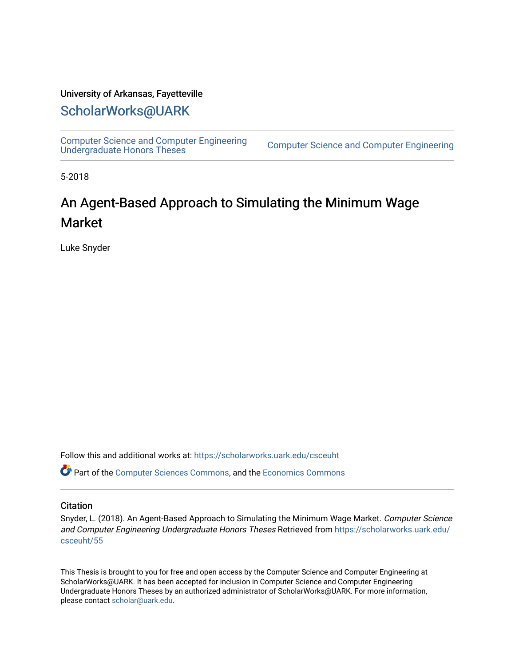#### University of Arkansas, Fayetteville

### [ScholarWorks@UARK](https://scholarworks.uark.edu/)

[Computer Science and Computer Engineering](https://scholarworks.uark.edu/csceuht) 

Computer Science and Computer Engineering

5-2018

## An Agent-Based Approach to Simulating the Minimum Wage Market

Luke Snyder

Follow this and additional works at: [https://scholarworks.uark.edu/csceuht](https://scholarworks.uark.edu/csceuht?utm_source=scholarworks.uark.edu%2Fcsceuht%2F55&utm_medium=PDF&utm_campaign=PDFCoverPages)

Part of the [Computer Sciences Commons](http://network.bepress.com/hgg/discipline/142?utm_source=scholarworks.uark.edu%2Fcsceuht%2F55&utm_medium=PDF&utm_campaign=PDFCoverPages), and the [Economics Commons](http://network.bepress.com/hgg/discipline/340?utm_source=scholarworks.uark.edu%2Fcsceuht%2F55&utm_medium=PDF&utm_campaign=PDFCoverPages)

#### **Citation**

Snyder, L. (2018). An Agent-Based Approach to Simulating the Minimum Wage Market. Computer Science and Computer Engineering Undergraduate Honors Theses Retrieved from [https://scholarworks.uark.edu/](https://scholarworks.uark.edu/csceuht/55?utm_source=scholarworks.uark.edu%2Fcsceuht%2F55&utm_medium=PDF&utm_campaign=PDFCoverPages) [csceuht/55](https://scholarworks.uark.edu/csceuht/55?utm_source=scholarworks.uark.edu%2Fcsceuht%2F55&utm_medium=PDF&utm_campaign=PDFCoverPages) 

This Thesis is brought to you for free and open access by the Computer Science and Computer Engineering at ScholarWorks@UARK. It has been accepted for inclusion in Computer Science and Computer Engineering Undergraduate Honors Theses by an authorized administrator of ScholarWorks@UARK. For more information, please contact [scholar@uark.edu](mailto:scholar@uark.edu).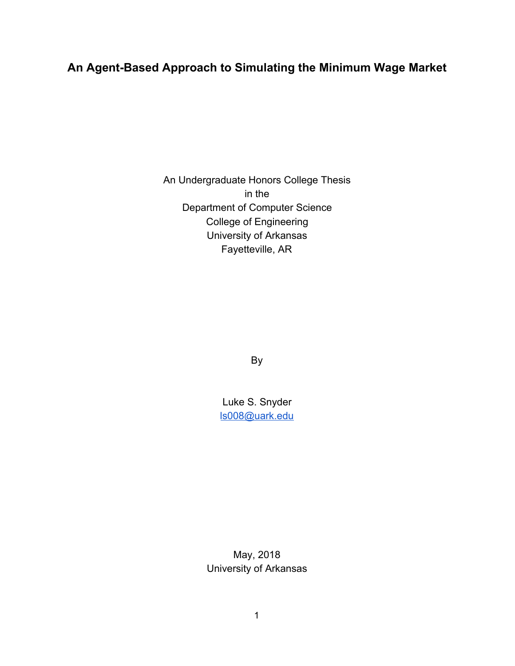### **An Agent-Based Approach to Simulating the Minimum Wage Market**

An Undergraduate Honors College Thesis in the Department of Computer Science College of Engineering University of Arkansas Fayetteville, AR

By

Luke S. Snyder [ls008@uark.edu](mailto:ls008@uark.edu)

May, 2018 University of Arkansas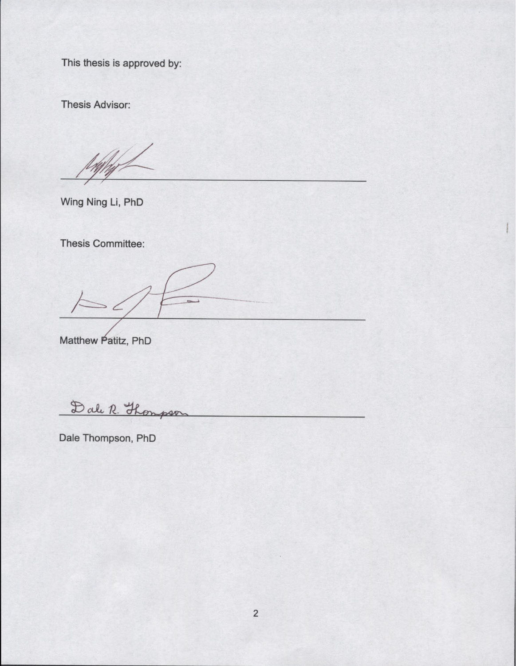This thesis is approved by:

Thesis Advisor:

Wing Ning Li, **PhD**

Thesis Committee:

Matthew Patitz, PhD

Dale R. Thompson

Dale Thompson, **PhD**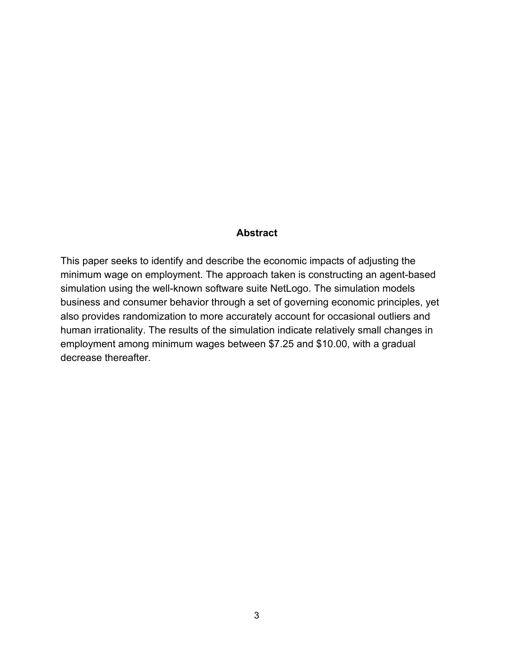#### **Abstract**

This paper seeks to identify and describe the economic impacts of adjusting the minimum wage on employment. The approach taken is constructing an agent-based simulation using the well-known software suite NetLogo. The simulation models business and consumer behavior through a set of governing economic principles, yet also provides randomization to more accurately account for occasional outliers and human irrationality. The results of the simulation indicate relatively small changes in employment among minimum wages between \$7.25 and \$10.00, with a gradual decrease thereafter.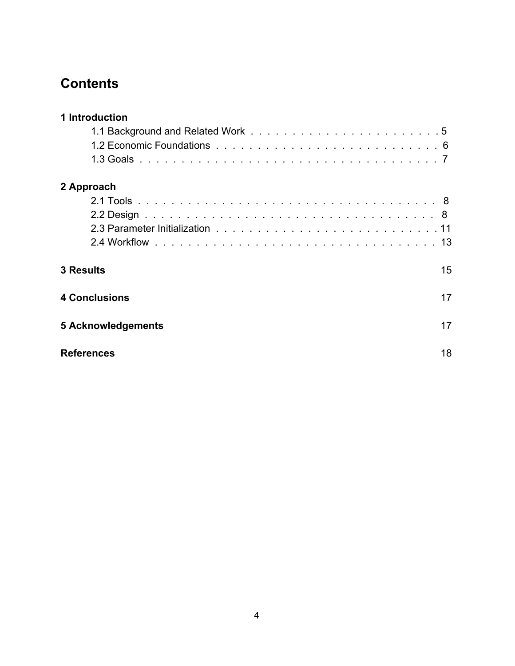## **Contents**

| 1 Introduction       |    |
|----------------------|----|
|                      |    |
|                      |    |
|                      |    |
| 2 Approach           |    |
|                      |    |
|                      |    |
|                      |    |
|                      |    |
| <b>3 Results</b>     | 15 |
| <b>4 Conclusions</b> | 17 |
| 5 Acknowledgements   | 17 |
| <b>References</b>    | 18 |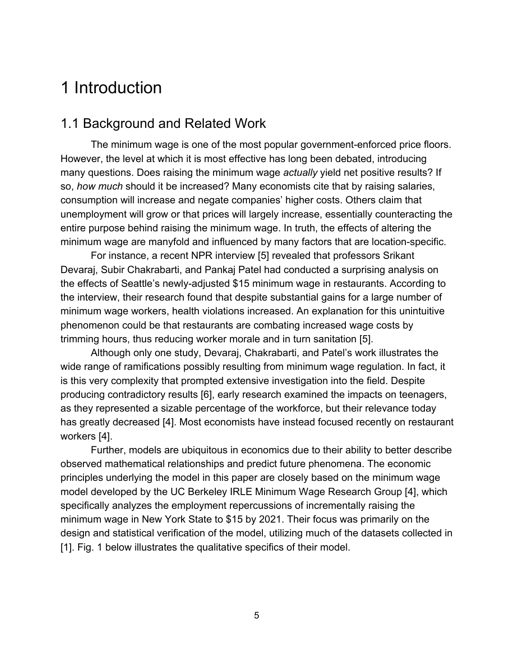# 1 Introduction

### 1.1 Background and Related Work

The minimum wage is one of the most popular government-enforced price floors. However, the level at which it is most effective has long been debated, introducing many questions. Does raising the minimum wage *actually* yield net positive results? If so, *how much* should it be increased? Many economists cite that by raising salaries, consumption will increase and negate companies' higher costs. Others claim that unemployment will grow or that prices will largely increase, essentially counteracting the entire purpose behind raising the minimum wage. In truth, the effects of altering the minimum wage are manyfold and influenced by many factors that are location-specific.

For instance, a recent NPR interview [5] revealed that professors Srikant Devaraj, Subir Chakrabarti, and Pankaj Patel had conducted a surprising analysis on the effects of Seattle's newly-adjusted \$15 minimum wage in restaurants. According to the interview, their research found that despite substantial gains for a large number of minimum wage workers, health violations increased. An explanation for this unintuitive phenomenon could be that restaurants are combating increased wage costs by trimming hours, thus reducing worker morale and in turn sanitation [5].

Although only one study, Devaraj, Chakrabarti, and Patel's work illustrates the wide range of ramifications possibly resulting from minimum wage regulation. In fact, it is this very complexity that prompted extensive investigation into the field. Despite producing contradictory results [6], early research examined the impacts on teenagers, as they represented a sizable percentage of the workforce, but their relevance today has greatly decreased [4]. Most economists have instead focused recently on restaurant workers [4].

Further, models are ubiquitous in economics due to their ability to better describe observed mathematical relationships and predict future phenomena. The economic principles underlying the model in this paper are closely based on the minimum wage model developed by the UC Berkeley IRLE Minimum Wage Research Group [4], which specifically analyzes the employment repercussions of incrementally raising the minimum wage in New York State to \$15 by 2021. Their focus was primarily on the design and statistical verification of the model, utilizing much of the datasets collected in [1]. Fig. 1 below illustrates the qualitative specifics of their model.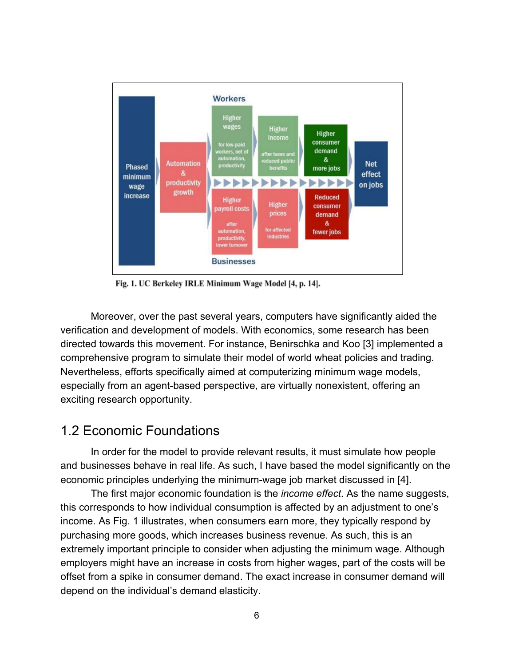

Fig. 1. UC Berkeley IRLE Minimum Wage Model [4, p. 14].

Moreover, over the past several years, computers have significantly aided the verification and development of models. With economics, some research has been directed towards this movement. For instance, Benirschka and Koo [3] implemented a comprehensive program to simulate their model of world wheat policies and trading. Nevertheless, efforts specifically aimed at computerizing minimum wage models, especially from an agent-based perspective, are virtually nonexistent, offering an exciting research opportunity.

### 1.2 Economic Foundations

In order for the model to provide relevant results, it must simulate how people and businesses behave in real life. As such, I have based the model significantly on the economic principles underlying the minimum-wage job market discussed in [4].

The first major economic foundation is the *income effect*. As the name suggests, this corresponds to how individual consumption is affected by an adjustment to one's income. As Fig. 1 illustrates, when consumers earn more, they typically respond by purchasing more goods, which increases business revenue. As such, this is an extremely important principle to consider when adjusting the minimum wage. Although employers might have an increase in costs from higher wages, part of the costs will be offset from a spike in consumer demand. The exact increase in consumer demand will depend on the individual's demand elasticity.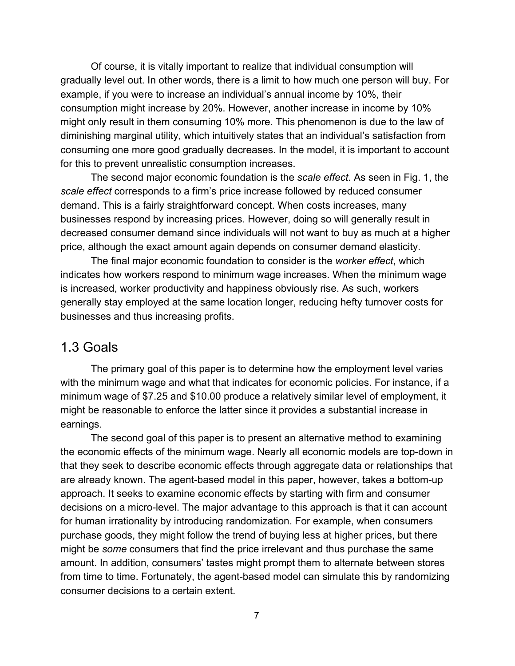Of course, it is vitally important to realize that individual consumption will gradually level out. In other words, there is a limit to how much one person will buy. For example, if you were to increase an individual's annual income by 10%, their consumption might increase by 20%. However, another increase in income by 10% might only result in them consuming 10% more. This phenomenon is due to the law of diminishing marginal utility, which intuitively states that an individual's satisfaction from consuming one more good gradually decreases. In the model, it is important to account for this to prevent unrealistic consumption increases.

The second major economic foundation is the *scale effect*. As seen in Fig. 1, the *scale effect* corresponds to a firm's price increase followed by reduced consumer demand. This is a fairly straightforward concept. When costs increases, many businesses respond by increasing prices. However, doing so will generally result in decreased consumer demand since individuals will not want to buy as much at a higher price, although the exact amount again depends on consumer demand elasticity.

The final major economic foundation to consider is the *worker effect*, which indicates how workers respond to minimum wage increases. When the minimum wage is increased, worker productivity and happiness obviously rise. As such, workers generally stay employed at the same location longer, reducing hefty turnover costs for businesses and thus increasing profits.

#### 1.3 Goals

The primary goal of this paper is to determine how the employment level varies with the minimum wage and what that indicates for economic policies. For instance, if a minimum wage of \$7.25 and \$10.00 produce a relatively similar level of employment, it might be reasonable to enforce the latter since it provides a substantial increase in earnings.

The second goal of this paper is to present an alternative method to examining the economic effects of the minimum wage. Nearly all economic models are top-down in that they seek to describe economic effects through aggregate data or relationships that are already known. The agent-based model in this paper, however, takes a bottom-up approach. It seeks to examine economic effects by starting with firm and consumer decisions on a micro-level. The major advantage to this approach is that it can account for human irrationality by introducing randomization. For example, when consumers purchase goods, they might follow the trend of buying less at higher prices, but there might be *some* consumers that find the price irrelevant and thus purchase the same amount. In addition, consumers' tastes might prompt them to alternate between stores from time to time. Fortunately, the agent-based model can simulate this by randomizing consumer decisions to a certain extent.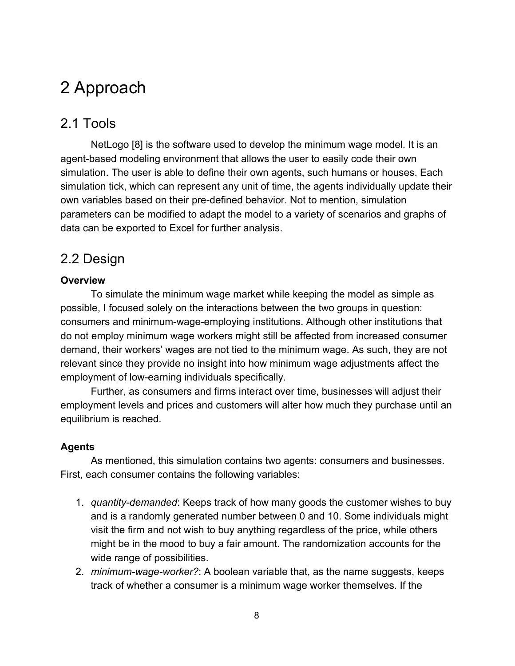# 2 Approach

### 2.1 Tools

NetLogo [8] is the software used to develop the minimum wage model. It is an agent-based modeling environment that allows the user to easily code their own simulation. The user is able to define their own agents, such humans or houses. Each simulation tick, which can represent any unit of time, the agents individually update their own variables based on their pre-defined behavior. Not to mention, simulation parameters can be modified to adapt the model to a variety of scenarios and graphs of data can be exported to Excel for further analysis.

### 2.2 Design

#### **Overview**

To simulate the minimum wage market while keeping the model as simple as possible, I focused solely on the interactions between the two groups in question: consumers and minimum-wage-employing institutions. Although other institutions that do not employ minimum wage workers might still be affected from increased consumer demand, their workers' wages are not tied to the minimum wage. As such, they are not relevant since they provide no insight into how minimum wage adjustments affect the employment of low-earning individuals specifically.

Further, as consumers and firms interact over time, businesses will adjust their employment levels and prices and customers will alter how much they purchase until an equilibrium is reached.

#### **Agents**

As mentioned, this simulation contains two agents: consumers and businesses. First, each consumer contains the following variables:

- 1. *quantity-demanded*: Keeps track of how many goods the customer wishes to buy and is a randomly generated number between 0 and 10. Some individuals might visit the firm and not wish to buy anything regardless of the price, while others might be in the mood to buy a fair amount. The randomization accounts for the wide range of possibilities.
- 2. *minimum-wage-worker?*: A boolean variable that, as the name suggests, keeps track of whether a consumer is a minimum wage worker themselves. If the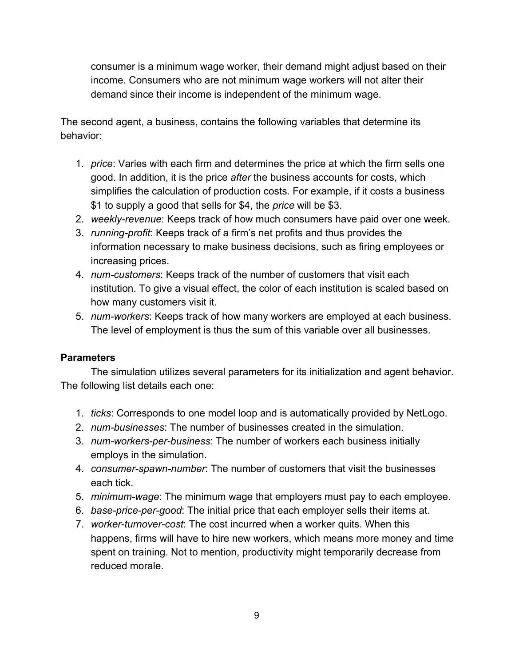consumer is a minimum wage worker, their demand might adjust based on their income. Consumers who are not minimum wage workers will not alter their demand since their income is independent of the minimum wage.

The second agent, a business, contains the following variables that determine its behavior:

- 1. *price*: Varies with each firm and determines the price at which the firm sells one good. In addition, it is the price *after* the business accounts for costs, which simplifies the calculation of production costs. For example, if it costs a business \$1 to supply a good that sells for \$4, the *price* will be \$3.
- 2. *weekly-revenue*: Keeps track of how much consumers have paid over one week.
- 3. *running-profit*: Keeps track of a firm's net profits and thus provides the information necessary to make business decisions, such as firing employees or increasing prices.
- 4. *num-customers*: Keeps track of the number of customers that visit each institution. To give a visual effect, the color of each institution is scaled based on how many customers visit it.
- 5. *num-workers*: Keeps track of how many workers are employed at each business. The level of employment is thus the sum of this variable over all businesses.

#### **Parameters**

The simulation utilizes several parameters for its initialization and agent behavior. The following list details each one:

- 1. *ticks*: Corresponds to one model loop and is automatically provided by NetLogo.
- 2. *num-businesses*: The number of businesses created in the simulation.
- 3. *num-workers-per-business*: The number of workers each business initially employs in the simulation.
- 4. *consumer-spawn-number*: The number of customers that visit the businesses each tick.
- 5. *minimum-wage*: The minimum wage that employers must pay to each employee.
- 6. *base-price-per-good*: The initial price that each employer sells their items at.
- 7. *worker-turnover-cost*: The cost incurred when a worker quits. When this happens, firms will have to hire new workers, which means more money and time spent on training. Not to mention, productivity might temporarily decrease from reduced morale.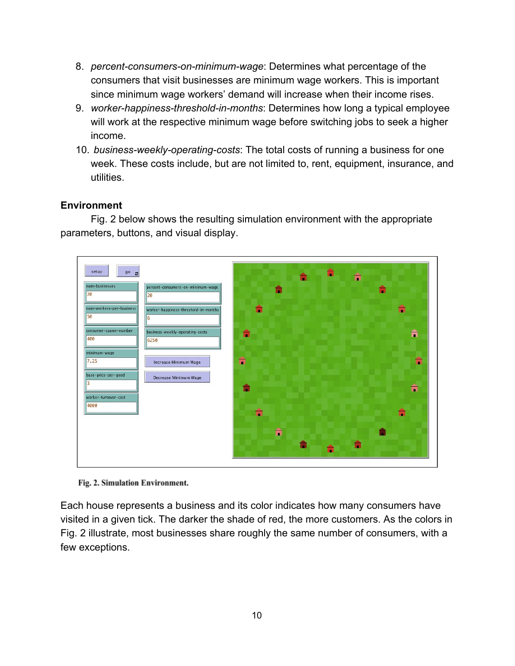- 8. *percent-consumers-on-minimum-wage*: Determines what percentage of the consumers that visit businesses are minimum wage workers. This is important since minimum wage workers' demand will increase when their income rises.
- 9. *worker-happiness-threshold-in-months*: Determines how long a typical employee will work at the respective minimum wage before switching jobs to seek a higher income.
- 10. *business-weekly-operating-costs*: The total costs of running a business for one week. These costs include, but are not limited to, rent, equipment, insurance, and utilities.

#### **Environment**

Fig. 2 below shows the resulting simulation environment with the appropriate parameters, buttons, and visual display.



Fig. 2. Simulation Environment.

Each house represents a business and its color indicates how many consumers have visited in a given tick. The darker the shade of red, the more customers. As the colors in Fig. 2 illustrate, most businesses share roughly the same number of consumers, with a few exceptions.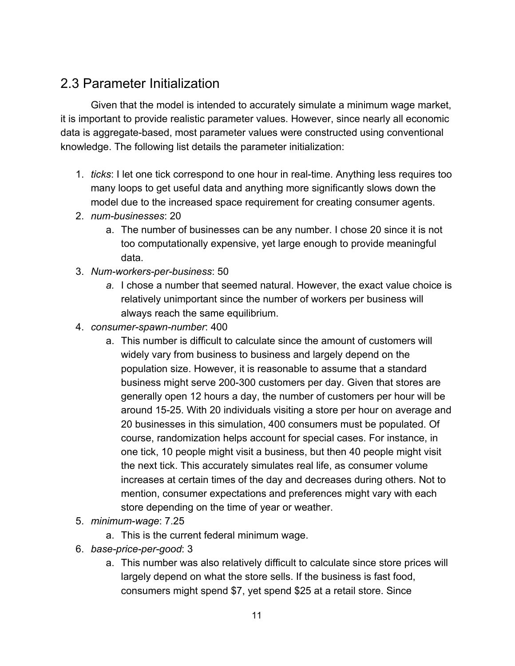## 2.3 Parameter Initialization

Given that the model is intended to accurately simulate a minimum wage market, it is important to provide realistic parameter values. However, since nearly all economic data is aggregate-based, most parameter values were constructed using conventional knowledge. The following list details the parameter initialization:

- 1. *ticks*: I let one tick correspond to one hour in real-time. Anything less requires too many loops to get useful data and anything more significantly slows down the model due to the increased space requirement for creating consumer agents.
- 2. *num-businesses*: 20
	- a. The number of businesses can be any number. I chose 20 since it is not too computationally expensive, yet large enough to provide meaningful data.
- 3. *Num-workers-per-business*: 50
	- *a.* I chose a number that seemed natural. However, the exact value choice is relatively unimportant since the number of workers per business will always reach the same equilibrium.
- 4. *consumer-spawn-number*: 400
	- a. This number is difficult to calculate since the amount of customers will widely vary from business to business and largely depend on the population size. However, it is reasonable to assume that a standard business might serve 200-300 customers per day. Given that stores are generally open 12 hours a day, the number of customers per hour will be around 15-25. With 20 individuals visiting a store per hour on average and 20 businesses in this simulation, 400 consumers must be populated. Of course, randomization helps account for special cases. For instance, in one tick, 10 people might visit a business, but then 40 people might visit the next tick. This accurately simulates real life, as consumer volume increases at certain times of the day and decreases during others. Not to mention, consumer expectations and preferences might vary with each store depending on the time of year or weather.
- 5. *minimum-wage*: 7.25
	- a. This is the current federal minimum wage.
- 6. *base-price-per-good*: 3
	- a. This number was also relatively difficult to calculate since store prices will largely depend on what the store sells. If the business is fast food, consumers might spend \$7, yet spend \$25 at a retail store. Since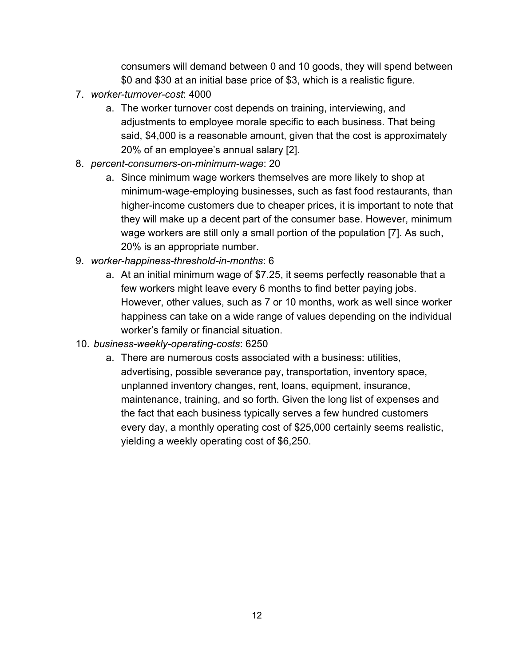consumers will demand between 0 and 10 goods, they will spend between \$0 and \$30 at an initial base price of \$3, which is a realistic figure.

- 7. *worker-turnover-cost*: 4000
	- a. The worker turnover cost depends on training, interviewing, and adjustments to employee morale specific to each business. That being said, \$4,000 is a reasonable amount, given that the cost is approximately 20% of an employee's annual salary [2].
- 8. *percent-consumers-on-minimum-wage*: 20
	- a. Since minimum wage workers themselves are more likely to shop at minimum-wage-employing businesses, such as fast food restaurants, than higher-income customers due to cheaper prices, it is important to note that they will make up a decent part of the consumer base. However, minimum wage workers are still only a small portion of the population [7]. As such, 20% is an appropriate number.
- 9. *worker-happiness-threshold-in-months*: 6
	- a. At an initial minimum wage of \$7.25, it seems perfectly reasonable that a few workers might leave every 6 months to find better paying jobs. However, other values, such as 7 or 10 months, work as well since worker happiness can take on a wide range of values depending on the individual worker's family or financial situation.
- 10. *business-weekly-operating-costs*: 6250
	- a. There are numerous costs associated with a business: utilities, advertising, possible severance pay, transportation, inventory space, unplanned inventory changes, rent, loans, equipment, insurance, maintenance, training, and so forth. Given the long list of expenses and the fact that each business typically serves a few hundred customers every day, a monthly operating cost of \$25,000 certainly seems realistic, yielding a weekly operating cost of \$6,250.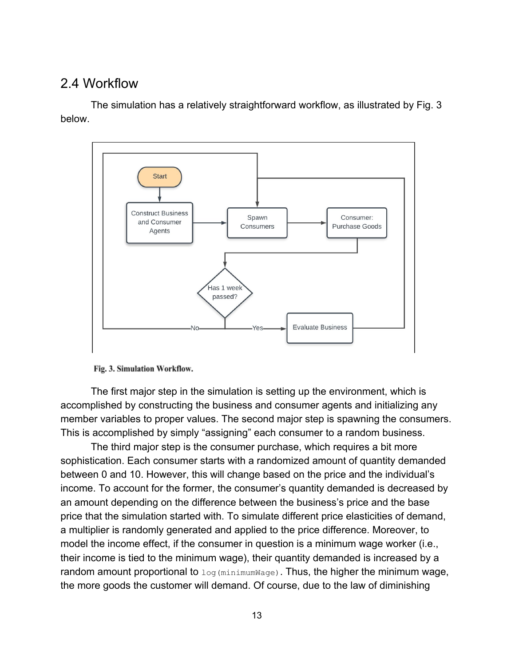### 2.4 Workflow

The simulation has a relatively straightforward workflow, as illustrated by Fig. 3 below.



Fig. 3. Simulation Workflow.

The first major step in the simulation is setting up the environment, which is accomplished by constructing the business and consumer agents and initializing any member variables to proper values. The second major step is spawning the consumers. This is accomplished by simply "assigning" each consumer to a random business.

The third major step is the consumer purchase, which requires a bit more sophistication. Each consumer starts with a randomized amount of quantity demanded between 0 and 10. However, this will change based on the price and the individual's income. To account for the former, the consumer's quantity demanded is decreased by an amount depending on the difference between the business's price and the base price that the simulation started with. To simulate different price elasticities of demand, a multiplier is randomly generated and applied to the price difference. Moreover, to model the income effect, if the consumer in question is a minimum wage worker (i.e., their income is tied to the minimum wage), their quantity demanded is increased by a random amount proportional to  $log(minimwage)$ . Thus, the higher the minimum wage, the more goods the customer will demand. Of course, due to the law of diminishing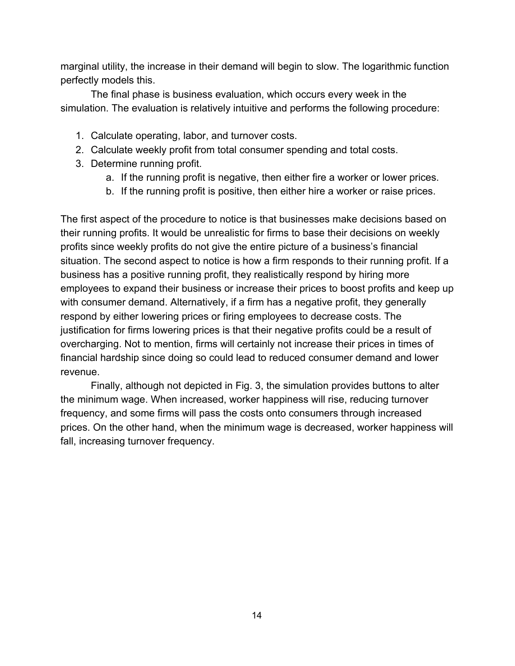marginal utility, the increase in their demand will begin to slow. The logarithmic function perfectly models this.

The final phase is business evaluation, which occurs every week in the simulation. The evaluation is relatively intuitive and performs the following procedure:

- 1. Calculate operating, labor, and turnover costs.
- 2. Calculate weekly profit from total consumer spending and total costs.
- 3. Determine running profit.
	- a. If the running profit is negative, then either fire a worker or lower prices.
	- b. If the running profit is positive, then either hire a worker or raise prices.

The first aspect of the procedure to notice is that businesses make decisions based on their running profits. It would be unrealistic for firms to base their decisions on weekly profits since weekly profits do not give the entire picture of a business's financial situation. The second aspect to notice is how a firm responds to their running profit. If a business has a positive running profit, they realistically respond by hiring more employees to expand their business or increase their prices to boost profits and keep up with consumer demand. Alternatively, if a firm has a negative profit, they generally respond by either lowering prices or firing employees to decrease costs. The justification for firms lowering prices is that their negative profits could be a result of overcharging. Not to mention, firms will certainly not increase their prices in times of financial hardship since doing so could lead to reduced consumer demand and lower revenue.

Finally, although not depicted in Fig. 3, the simulation provides buttons to alter the minimum wage. When increased, worker happiness will rise, reducing turnover frequency, and some firms will pass the costs onto consumers through increased prices. On the other hand, when the minimum wage is decreased, worker happiness will fall, increasing turnover frequency.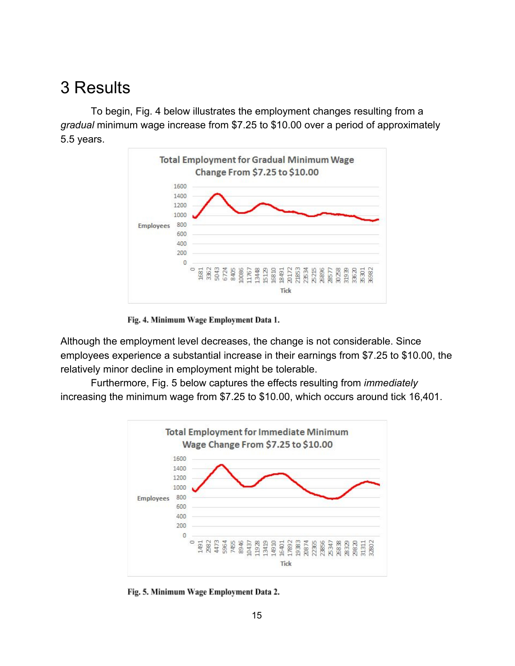# 3 Results

To begin, Fig. 4 below illustrates the employment changes resulting from a *gradual* minimum wage increase from \$7.25 to \$10.00 over a period of approximately 5.5 years.



Fig. 4. Minimum Wage Employment Data 1.

Although the employment level decreases, the change is not considerable. Since employees experience a substantial increase in their earnings from \$7.25 to \$10.00, the relatively minor decline in employment might be tolerable.

Furthermore, Fig. 5 below captures the effects resulting from *immediately* increasing the minimum wage from \$7.25 to \$10.00, which occurs around tick 16,401.



Fig. 5. Minimum Wage Employment Data 2.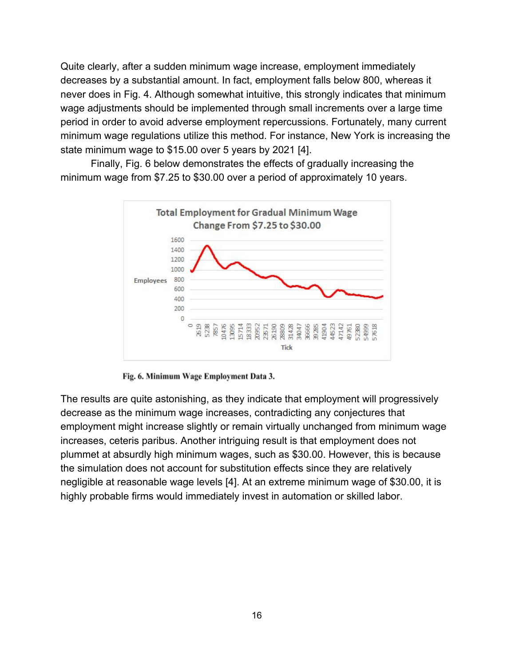Quite clearly, after a sudden minimum wage increase, employment immediately decreases by a substantial amount. In fact, employment falls below 800, whereas it never does in Fig. 4. Although somewhat intuitive, this strongly indicates that minimum wage adjustments should be implemented through small increments over a large time period in order to avoid adverse employment repercussions. Fortunately, many current minimum wage regulations utilize this method. For instance, New York is increasing the state minimum wage to \$15.00 over 5 years by 2021 [4].

Finally, Fig. 6 below demonstrates the effects of gradually increasing the minimum wage from \$7.25 to \$30.00 over a period of approximately 10 years.



Fig. 6. Minimum Wage Employment Data 3.

The results are quite astonishing, as they indicate that employment will progressively decrease as the minimum wage increases, contradicting any conjectures that employment might increase slightly or remain virtually unchanged from minimum wage increases, ceteris paribus. Another intriguing result is that employment does not plummet at absurdly high minimum wages, such as \$30.00. However, this is because the simulation does not account for substitution effects since they are relatively negligible at reasonable wage levels [4]. At an extreme minimum wage of \$30.00, it is highly probable firms would immediately invest in automation or skilled labor.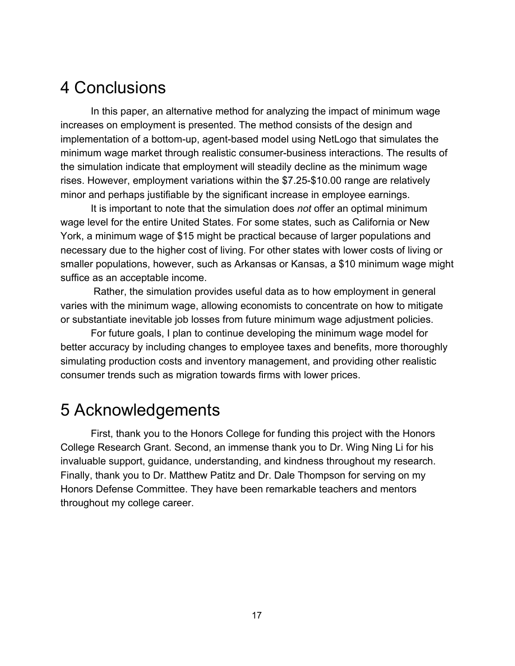## 4 Conclusions

In this paper, an alternative method for analyzing the impact of minimum wage increases on employment is presented. The method consists of the design and implementation of a bottom-up, agent-based model using NetLogo that simulates the minimum wage market through realistic consumer-business interactions. The results of the simulation indicate that employment will steadily decline as the minimum wage rises. However, employment variations within the \$7.25-\$10.00 range are relatively minor and perhaps justifiable by the significant increase in employee earnings.

It is important to note that the simulation does *not* offer an optimal minimum wage level for the entire United States. For some states, such as California or New York, a minimum wage of \$15 might be practical because of larger populations and necessary due to the higher cost of living. For other states with lower costs of living or smaller populations, however, such as Arkansas or Kansas, a \$10 minimum wage might suffice as an acceptable income.

 Rather, the simulation provides useful data as to how employment in general varies with the minimum wage, allowing economists to concentrate on how to mitigate or substantiate inevitable job losses from future minimum wage adjustment policies.

For future goals, I plan to continue developing the minimum wage model for better accuracy by including changes to employee taxes and benefits, more thoroughly simulating production costs and inventory management, and providing other realistic consumer trends such as migration towards firms with lower prices.

## 5 Acknowledgements

First, thank you to the Honors College for funding this project with the Honors College Research Grant. Second, an immense thank you to Dr. Wing Ning Li for his invaluable support, guidance, understanding, and kindness throughout my research. Finally, thank you to Dr. Matthew Patitz and Dr. Dale Thompson for serving on my Honors Defense Committee. They have been remarkable teachers and mentors throughout my college career.